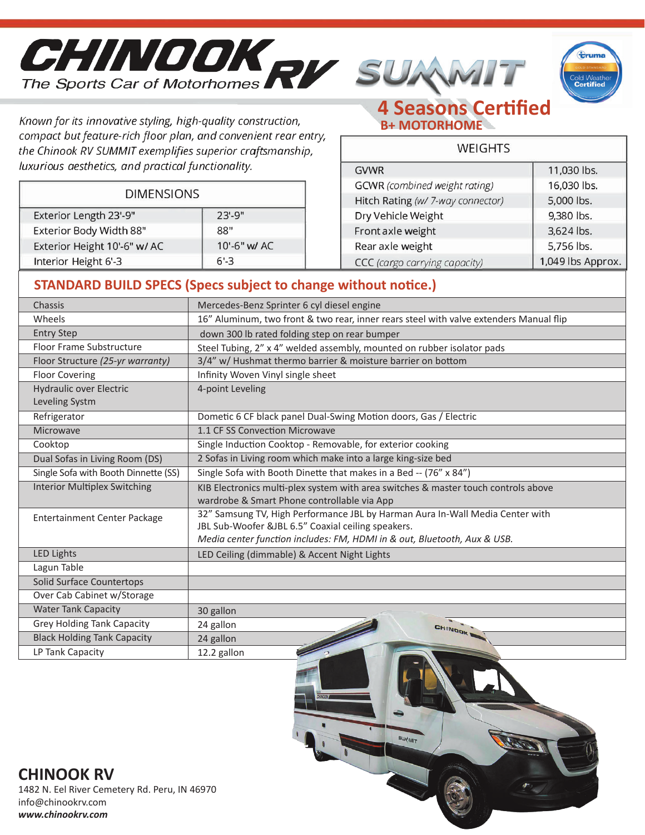





Known for its innovative styling, high-quality construction, compact but feature-rich floor plan, and convenient rear entry, the Chinook RV SUMMIT exemplifies superior craftsmanship, luxurious aesthetics, and practical functionality.

**DIMENSIONS** 

Exterior Length 23'-9"

Interior Height 6'-3

Exterior Body Width 88"

Exterior Height 10'-6" w/ AC

## **4 Seasons Certified B+ MOTORHOME**

| VFLLHHS                           |                   |  |
|-----------------------------------|-------------------|--|
| <b>GVWR</b>                       | 11,030 lbs.       |  |
| GCWR (combined weight rating)     | 16,030 lbs.       |  |
| Hitch Rating (w/ 7-way connector) | 5,000 lbs.        |  |
| Dry Vehicle Weight                | 9,380 lbs.        |  |
| Front axle weight                 | 3,624 lbs.        |  |
| Rear axle weight                  | 5,756 lbs.        |  |
| CCC (cargo carrying capacity)     | 1,049 lbs Approx. |  |

 $\cdots$ 

## **STANDARD BUILD SPECS (Specs subject to change without notice.)**

10'-6" w/ AC

 $23 - 9"$ 

88"

 $6' - 3$ 

| Chassis                                          | Mercedes-Benz Sprinter 6 cyl diesel engine                                                                                        |
|--------------------------------------------------|-----------------------------------------------------------------------------------------------------------------------------------|
| Wheels                                           | 16" Aluminum, two front & two rear, inner rears steel with valve extenders Manual flip                                            |
| <b>Entry Step</b>                                | down 300 lb rated folding step on rear bumper                                                                                     |
| Floor Frame Substructure                         | Steel Tubing, 2" x 4" welded assembly, mounted on rubber isolator pads                                                            |
| Floor Structure (25-yr warranty)                 | 3/4" w/ Hushmat thermo barrier & moisture barrier on bottom                                                                       |
| <b>Floor Covering</b>                            | Infinity Woven Vinyl single sheet                                                                                                 |
| <b>Hydraulic over Electric</b><br>Leveling Systm | 4-point Leveling                                                                                                                  |
| Refrigerator                                     | Dometic 6 CF black panel Dual-Swing Motion doors, Gas / Electric                                                                  |
| Microwave                                        | 1.1 CF SS Convection Microwave                                                                                                    |
| Cooktop                                          | Single Induction Cooktop - Removable, for exterior cooking                                                                        |
| Dual Sofas in Living Room (DS)                   | 2 Sofas in Living room which make into a large king-size bed                                                                      |
| Single Sofa with Booth Dinnette (SS)             | Single Sofa with Booth Dinette that makes in a Bed -- (76" x 84")                                                                 |
| <b>Interior Multiplex Switching</b>              | KIB Electronics multi-plex system with area switches & master touch controls above                                                |
|                                                  | wardrobe & Smart Phone controllable via App                                                                                       |
| <b>Entertainment Center Package</b>              | 32" Samsung TV, High Performance JBL by Harman Aura In-Wall Media Center with                                                     |
|                                                  | JBL Sub-Woofer &JBL 6.5" Coaxial ceiling speakers.                                                                                |
|                                                  | Media center function includes: FM, HDMI in & out, Bluetooth, Aux & USB.                                                          |
| <b>LED Lights</b>                                | LED Ceiling (dimmable) & Accent Night Lights                                                                                      |
| Lagun Table                                      |                                                                                                                                   |
| <b>Solid Surface Countertops</b>                 |                                                                                                                                   |
| Over Cab Cabinet w/Storage                       |                                                                                                                                   |
| <b>Water Tank Capacity</b>                       | 30 gallon                                                                                                                         |
| Grey Holding Tank Capacity                       | 24 gallon<br>CHINGOK                                                                                                              |
| <b>Black Holding Tank Capacity</b>               | <b>Contract Contract Contract Contract Contract Contract Contract Contract Contract Contract Contract Contract C</b><br>24 gallon |
| LP Tank Capacity                                 | 12.2 gallon                                                                                                                       |



## **CHINOOK RV**

1482 N. Eel River Cemetery Rd. Peru, IN 46970 info@chinookrv.com *www.chinookrv.com*